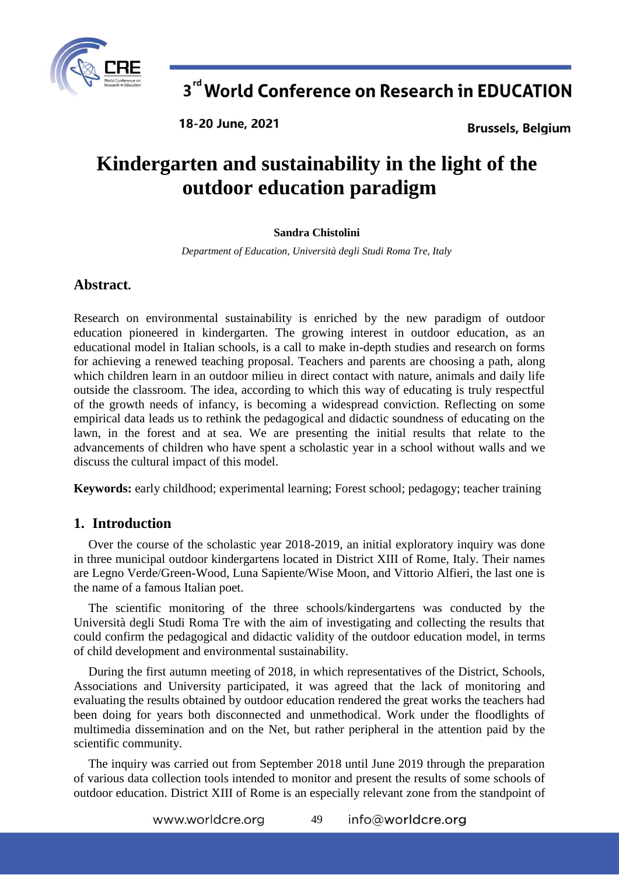

18-20 June, 2021

**Brussels, Belgium** 

# **Kindergarten and sustainability in the light of the outdoor education paradigm**

#### **Sandra Chistolini**

*Department of Education, Università degli Studi Roma Tre, Italy*

## **Abstract.**

Research on environmental sustainability is enriched by the new paradigm of outdoor education pioneered in kindergarten. The growing interest in outdoor education, as an educational model in Italian schools, is a call to make in-depth studies and research on forms for achieving a renewed teaching proposal. Teachers and parents are choosing a path, along which children learn in an outdoor milieu in direct contact with nature, animals and daily life outside the classroom. The idea, according to which this way of educating is truly respectful of the growth needs of infancy, is becoming a widespread conviction. Reflecting on some empirical data leads us to rethink the pedagogical and didactic soundness of educating on the lawn, in the forest and at sea. We are presenting the initial results that relate to the advancements of children who have spent a scholastic year in a school without walls and we discuss the cultural impact of this model.

**Keywords:** early childhood; experimental learning; Forest school; pedagogy; teacher training

## **1. Introduction**

Over the course of the scholastic year 2018-2019, an initial exploratory inquiry was done in three municipal outdoor kindergartens located in District XIII of Rome, Italy. Their names are Legno Verde/Green-Wood, Luna Sapiente/Wise Moon, and Vittorio Alfieri, the last one is the name of a famous Italian poet.

The scientific monitoring of the three schools/kindergartens was conducted by the Università degli Studi Roma Tre with the aim of investigating and collecting the results that could confirm the pedagogical and didactic validity of the outdoor education model, in terms of child development and environmental sustainability.

During the first autumn meeting of 2018, in which representatives of the District, Schools, Associations and University participated, it was agreed that the lack of monitoring and evaluating the results obtained by outdoor education rendered the great works the teachers had been doing for years both disconnected and unmethodical. Work under the floodlights of multimedia dissemination and on the Net, but rather peripheral in the attention paid by the scientific community.

The inquiry was carried out from September 2018 until June 2019 through the preparation of various data collection tools intended to monitor and present the results of some schools of outdoor education. District XIII of Rome is an especially relevant zone from the standpoint of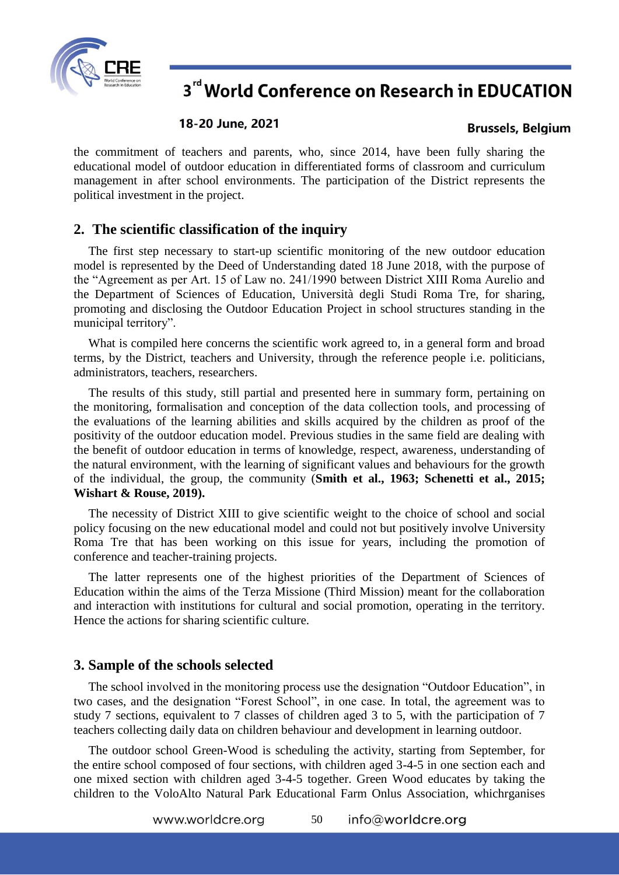

#### 18-20 June, 2021

#### **Brussels, Belgium**

the commitment of teachers and parents, who, since 2014, have been fully sharing the educational model of outdoor education in differentiated forms of classroom and curriculum management in after school environments. The participation of the District represents the political investment in the project.

### **2. The scientific classification of the inquiry**

The first step necessary to start-up scientific monitoring of the new outdoor education model is represented by the Deed of Understanding dated 18 June 2018, with the purpose of the "Agreement as per Art. 15 of Law no. 241/1990 between District XIII Roma Aurelio and the Department of Sciences of Education, Università degli Studi Roma Tre, for sharing, promoting and disclosing the Outdoor Education Project in school structures standing in the municipal territory".

What is compiled here concerns the scientific work agreed to, in a general form and broad terms, by the District, teachers and University, through the reference people i.e. politicians, administrators, teachers, researchers.

The results of this study, still partial and presented here in summary form, pertaining on the monitoring, formalisation and conception of the data collection tools, and processing of the evaluations of the learning abilities and skills acquired by the children as proof of the positivity of the outdoor education model. Previous studies in the same field are dealing with the benefit of outdoor education in terms of knowledge, respect, awareness, understanding of the natural environment, with the learning of significant values and behaviours for the growth of the individual, the group, the community (**Smith et al., 1963; Schenetti et al., 2015; Wishart & Rouse, 2019).**

The necessity of District XIII to give scientific weight to the choice of school and social policy focusing on the new educational model and could not but positively involve University Roma Tre that has been working on this issue for years, including the promotion of conference and teacher-training projects.

The latter represents one of the highest priorities of the Department of Sciences of Education within the aims of the Terza Missione (Third Mission) meant for the collaboration and interaction with institutions for cultural and social promotion, operating in the territory. Hence the actions for sharing scientific culture.

### **3. Sample of the schools selected**

The school involved in the monitoring process use the designation "Outdoor Education", in two cases, and the designation "Forest School", in one case. In total, the agreement was to study 7 sections, equivalent to 7 classes of children aged 3 to 5, with the participation of 7 teachers collecting daily data on children behaviour and development in learning outdoor.

The outdoor school Green-Wood is scheduling the activity, starting from September, for the entire school composed of four sections, with children aged 3-4-5 in one section each and one mixed section with children aged 3-4-5 together. Green Wood educates by taking the children to the VoloAlto Natural Park Educational Farm Onlus Association, whichrganises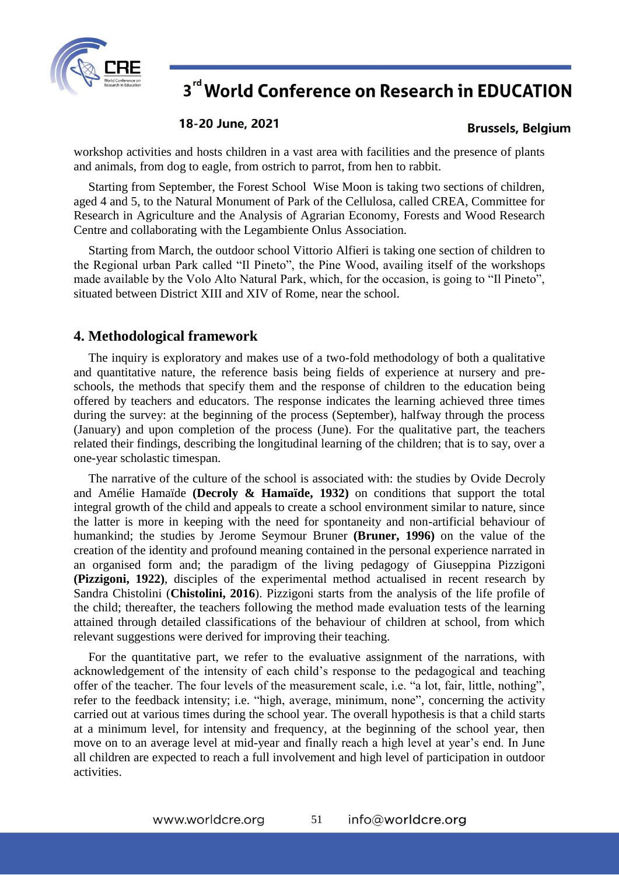

#### 18-20 June, 2021

### **Brussels, Belgium**

workshop activities and hosts children in a vast area with facilities and the presence of plants and animals, from dog to eagle, from ostrich to parrot, from hen to rabbit.

Starting from September, the Forest School Wise Moon is taking two sections of children, aged 4 and 5, to the Natural Monument of Park of the Cellulosa, called CREA, Committee for Research in Agriculture and the Analysis of Agrarian Economy, Forests and Wood Research Centre and collaborating with the Legambiente Onlus Association.

Starting from March, the outdoor school Vittorio Alfieri is taking one section of children to the Regional urban Park called "Il Pineto", the Pine Wood, availing itself of the workshops made available by the Volo Alto Natural Park, which, for the occasion, is going to "Il Pineto", situated between District XIII and XIV of Rome, near the school.

## **4. Methodological framework**

The inquiry is exploratory and makes use of a two-fold methodology of both a qualitative and quantitative nature, the reference basis being fields of experience at nursery and preschools, the methods that specify them and the response of children to the education being offered by teachers and educators. The response indicates the learning achieved three times during the survey: at the beginning of the process (September), halfway through the process (January) and upon completion of the process (June). For the qualitative part, the teachers related their findings, describing the longitudinal learning of the children; that is to say, over a one-year scholastic timespan.

The narrative of the culture of the school is associated with: the studies by Ovide Decroly and Amélie Hamaïde **(Decroly & Hamaïde, 1932)** on conditions that support the total integral growth of the child and appeals to create a school environment similar to nature, since the latter is more in keeping with the need for spontaneity and non-artificial behaviour of humankind; the studies by Jerome Seymour Bruner **(Bruner, 1996)** on the value of the creation of the identity and profound meaning contained in the personal experience narrated in an organised form and; the paradigm of the living pedagogy of Giuseppina Pizzigoni **(Pizzigoni, 1922)**, disciples of the experimental method actualised in recent research by Sandra Chistolini (**Chistolini, 2016**). Pizzigoni starts from the analysis of the life profile of the child; thereafter, the teachers following the method made evaluation tests of the learning attained through detailed classifications of the behaviour of children at school, from which relevant suggestions were derived for improving their teaching.

For the quantitative part, we refer to the evaluative assignment of the narrations, with acknowledgement of the intensity of each child's response to the pedagogical and teaching offer of the teacher. The four levels of the measurement scale, i.e. "a lot, fair, little, nothing", refer to the feedback intensity; i.e. "high, average, minimum, none", concerning the activity carried out at various times during the school year. The overall hypothesis is that a child starts at a minimum level, for intensity and frequency, at the beginning of the school year, then move on to an average level at mid-year and finally reach a high level at year's end. In June all children are expected to reach a full involvement and high level of participation in outdoor activities.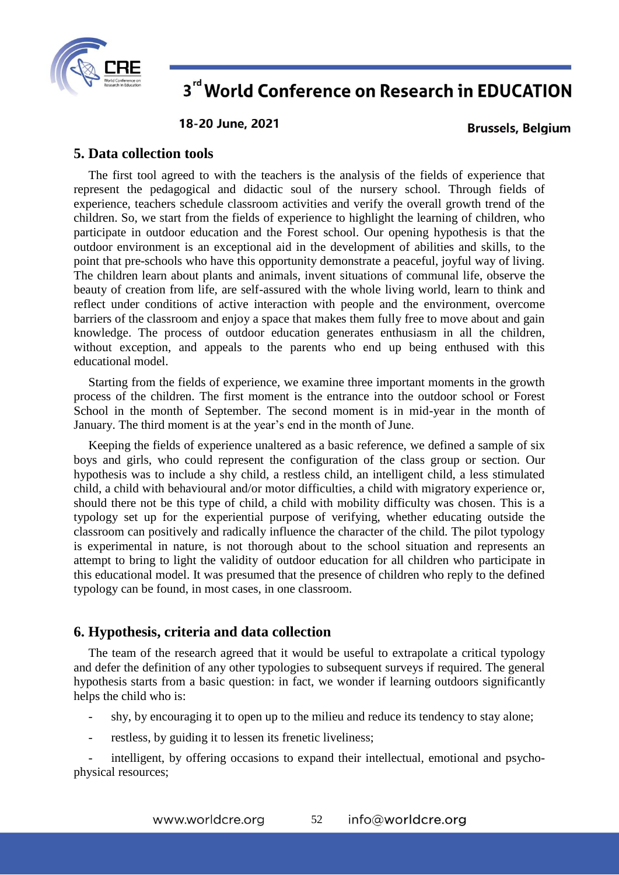

18-20 June, 2021

**Brussels, Belgium** 

### **5. Data collection tools**

The first tool agreed to with the teachers is the analysis of the fields of experience that represent the pedagogical and didactic soul of the nursery school. Through fields of experience, teachers schedule classroom activities and verify the overall growth trend of the children. So, we start from the fields of experience to highlight the learning of children, who participate in outdoor education and the Forest school. Our opening hypothesis is that the outdoor environment is an exceptional aid in the development of abilities and skills, to the point that pre-schools who have this opportunity demonstrate a peaceful, joyful way of living. The children learn about plants and animals, invent situations of communal life, observe the beauty of creation from life, are self-assured with the whole living world, learn to think and reflect under conditions of active interaction with people and the environment, overcome barriers of the classroom and enjoy a space that makes them fully free to move about and gain knowledge. The process of outdoor education generates enthusiasm in all the children, without exception, and appeals to the parents who end up being enthused with this educational model.

Starting from the fields of experience, we examine three important moments in the growth process of the children. The first moment is the entrance into the outdoor school or Forest School in the month of September. The second moment is in mid-year in the month of January. The third moment is at the year's end in the month of June.

Keeping the fields of experience unaltered as a basic reference, we defined a sample of six boys and girls, who could represent the configuration of the class group or section. Our hypothesis was to include a shy child, a restless child, an intelligent child, a less stimulated child, a child with behavioural and/or motor difficulties, a child with migratory experience or, should there not be this type of child, a child with mobility difficulty was chosen. This is a typology set up for the experiential purpose of verifying, whether educating outside the classroom can positively and radically influence the character of the child. The pilot typology is experimental in nature, is not thorough about to the school situation and represents an attempt to bring to light the validity of outdoor education for all children who participate in this educational model. It was presumed that the presence of children who reply to the defined typology can be found, in most cases, in one classroom.

### **6. Hypothesis, criteria and data collection**

The team of the research agreed that it would be useful to extrapolate a critical typology and defer the definition of any other typologies to subsequent surveys if required. The general hypothesis starts from a basic question: in fact, we wonder if learning outdoors significantly helps the child who is:

- shy, by encouraging it to open up to the milieu and reduce its tendency to stay alone;
- restless, by guiding it to lessen its frenetic liveliness;

intelligent, by offering occasions to expand their intellectual, emotional and psychophysical resources;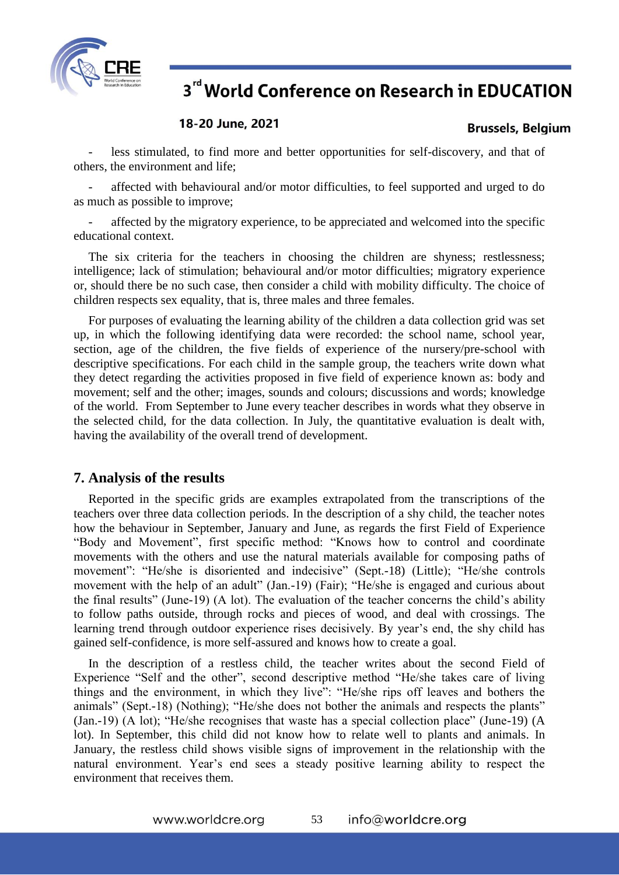

#### 18-20 June, 2021

### **Brussels, Belgium**

less stimulated, to find more and better opportunities for self-discovery, and that of others, the environment and life;

affected with behavioural and/or motor difficulties, to feel supported and urged to do as much as possible to improve;

- affected by the migratory experience, to be appreciated and welcomed into the specific educational context.

The six criteria for the teachers in choosing the children are shyness; restlessness; intelligence; lack of stimulation; behavioural and/or motor difficulties; migratory experience or, should there be no such case, then consider a child with mobility difficulty. The choice of children respects sex equality, that is, three males and three females.

For purposes of evaluating the learning ability of the children a data collection grid was set up, in which the following identifying data were recorded: the school name, school year, section, age of the children, the five fields of experience of the nursery/pre-school with descriptive specifications. For each child in the sample group, the teachers write down what they detect regarding the activities proposed in five field of experience known as: body and movement; self and the other; images, sounds and colours; discussions and words; knowledge of the world. From September to June every teacher describes in words what they observe in the selected child, for the data collection. In July, the quantitative evaluation is dealt with, having the availability of the overall trend of development.

### **7. Analysis of the results**

Reported in the specific grids are examples extrapolated from the transcriptions of the teachers over three data collection periods. In the description of a shy child, the teacher notes how the behaviour in September, January and June, as regards the first Field of Experience "Body and Movement", first specific method: "Knows how to control and coordinate movements with the others and use the natural materials available for composing paths of movement": "He/she is disoriented and indecisive" (Sept.-18) (Little); "He/she controls movement with the help of an adult" (Jan.-19) (Fair); "He/she is engaged and curious about the final results" (June-19) (A lot). The evaluation of the teacher concerns the child's ability to follow paths outside, through rocks and pieces of wood, and deal with crossings. The learning trend through outdoor experience rises decisively. By year's end, the shy child has gained self-confidence, is more self-assured and knows how to create a goal.

In the description of a restless child, the teacher writes about the second Field of Experience "Self and the other", second descriptive method "He/she takes care of living things and the environment, in which they live": "He/she rips off leaves and bothers the animals" (Sept.-18) (Nothing); "He/she does not bother the animals and respects the plants" (Jan.-19) (A lot); "He/she recognises that waste has a special collection place" (June-19) (A lot). In September, this child did not know how to relate well to plants and animals. In January, the restless child shows visible signs of improvement in the relationship with the natural environment. Year's end sees a steady positive learning ability to respect the environment that receives them.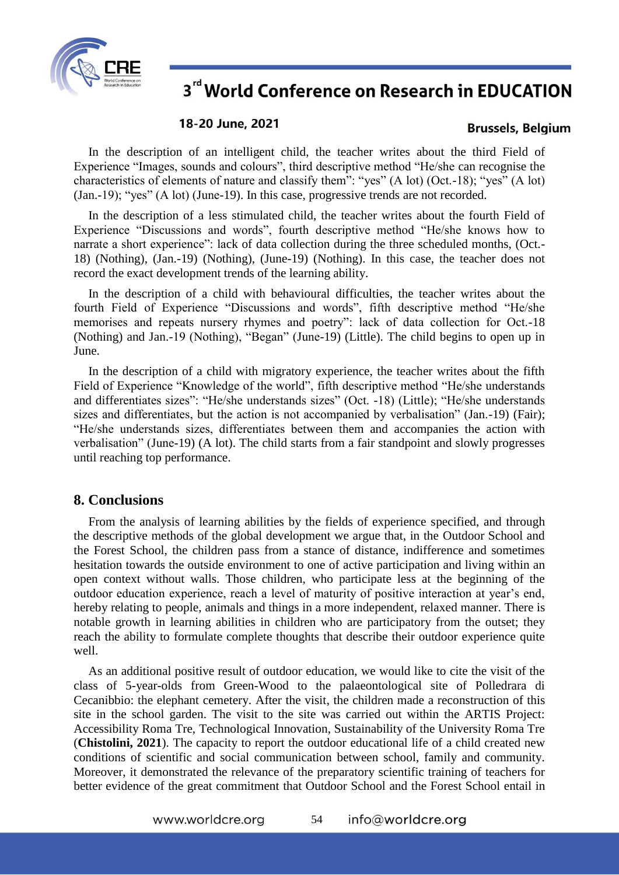

#### 18-20 June, 2021

#### **Brussels, Belgium**

In the description of an intelligent child, the teacher writes about the third Field of Experience "Images, sounds and colours", third descriptive method "He/she can recognise the characteristics of elements of nature and classify them": "yes" (A lot) (Oct.-18); "yes" (A lot) (Jan.-19); "yes" (A lot) (June-19). In this case, progressive trends are not recorded.

In the description of a less stimulated child, the teacher writes about the fourth Field of Experience "Discussions and words", fourth descriptive method "He/she knows how to narrate a short experience": lack of data collection during the three scheduled months, (Oct.- 18) (Nothing), (Jan.-19) (Nothing), (June-19) (Nothing). In this case, the teacher does not record the exact development trends of the learning ability.

In the description of a child with behavioural difficulties, the teacher writes about the fourth Field of Experience "Discussions and words", fifth descriptive method "He/she memorises and repeats nursery rhymes and poetry": lack of data collection for Oct.-18 (Nothing) and Jan.-19 (Nothing), "Began" (June-19) (Little). The child begins to open up in June.

In the description of a child with migratory experience, the teacher writes about the fifth Field of Experience "Knowledge of the world", fifth descriptive method "He/she understands and differentiates sizes": "He/she understands sizes" (Oct. -18) (Little); "He/she understands sizes and differentiates, but the action is not accompanied by verbalisation" (Jan.-19) (Fair); "He/she understands sizes, differentiates between them and accompanies the action with verbalisation" (June-19) (A lot). The child starts from a fair standpoint and slowly progresses until reaching top performance.

### **8. Conclusions**

From the analysis of learning abilities by the fields of experience specified, and through the descriptive methods of the global development we argue that, in the Outdoor School and the Forest School, the children pass from a stance of distance, indifference and sometimes hesitation towards the outside environment to one of active participation and living within an open context without walls. Those children, who participate less at the beginning of the outdoor education experience, reach a level of maturity of positive interaction at year's end, hereby relating to people, animals and things in a more independent, relaxed manner. There is notable growth in learning abilities in children who are participatory from the outset; they reach the ability to formulate complete thoughts that describe their outdoor experience quite well.

As an additional positive result of outdoor education, we would like to cite the visit of the class of 5-year-olds from Green-Wood to the palaeontological site of Polledrara di Cecanibbio: the elephant cemetery. After the visit, the children made a reconstruction of this site in the school garden. The visit to the site was carried out within the ARTIS Project: Accessibility Roma Tre, Technological Innovation, Sustainability of the University Roma Tre (**Chistolini, 2021**). The capacity to report the outdoor educational life of a child created new conditions of scientific and social communication between school, family and community. Moreover, it demonstrated the relevance of the preparatory scientific training of teachers for better evidence of the great commitment that Outdoor School and the Forest School entail in